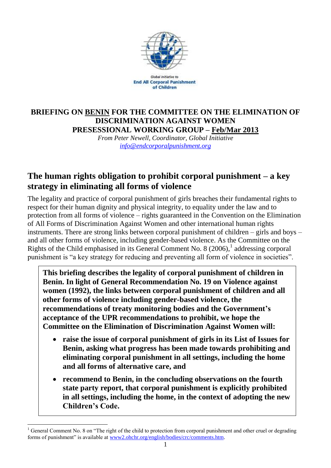

Global Initiative to **End All Corporal Punishment** of Children

### **BRIEFING ON BENIN FOR THE COMMITTEE ON THE ELIMINATION OF DISCRIMINATION AGAINST WOMEN PRESESSIONAL WORKING GROUP – Feb/Mar 2013**

*From Peter Newell, Coordinator, Global Initiative [info@endcorporalpunishment.org](mailto:info@endcorporalpunishment.org)*

# **The human rights obligation to prohibit corporal punishment – a key strategy in eliminating all forms of violence**

The legality and practice of corporal punishment of girls breaches their fundamental rights to respect for their human dignity and physical integrity, to equality under the law and to protection from all forms of violence – rights guaranteed in the Convention on the Elimination of All Forms of Discrimination Against Women and other international human rights instruments. There are strong links between corporal punishment of children – girls and boys – and all other forms of violence, including gender-based violence. As the Committee on the Rights of the Child emphasised in its General Comment No. 8  $(2006)$ ,<sup>1</sup> addressing corporal punishment is "a key strategy for reducing and preventing all form of violence in societies".

**This briefing describes the legality of corporal punishment of children in Benin. In light of General Recommendation No. 19 on Violence against women (1992), the links between corporal punishment of children and all other forms of violence including gender-based violence, the recommendations of treaty monitoring bodies and the Government's acceptance of the UPR recommendations to prohibit, we hope the Committee on the Elimination of Discrimination Against Women will:**

- **raise the issue of corporal punishment of girls in its List of Issues for Benin, asking what progress has been made towards prohibiting and eliminating corporal punishment in all settings, including the home and all forms of alternative care, and**
- **recommend to Benin, in the concluding observations on the fourth state party report, that corporal punishment is explicitly prohibited in all settings, including the home, in the context of adopting the new Children's Code.**

 $\overline{a}$  $1$  General Comment No. 8 on "The right of the child to protection from corporal punishment and other cruel or degrading forms of punishment" is available at [www2.ohchr.org/english/bodies/crc/comments.htm.](http://www.ohchr.org/english/bodies/crc/comments.htm)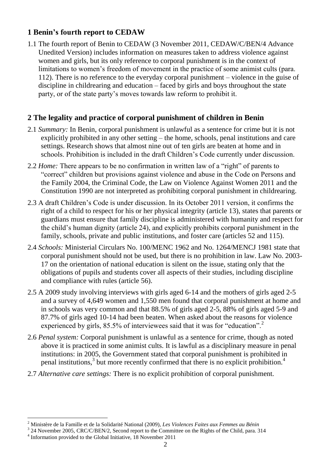## **1 Benin's fourth report to CEDAW**

1.1 The fourth report of Benin to CEDAW (3 November 2011, CEDAW/C/BEN/4 Advance Unedited Version) includes information on measures taken to address violence against women and girls, but its only reference to corporal punishment is in the context of limitations to women's freedom of movement in the practice of some animist cults (para. 112). There is no reference to the everyday corporal punishment – violence in the guise of discipline in childrearing and education – faced by girls and boys throughout the state party, or of the state party's moves towards law reform to prohibit it.

## **2 The legality and practice of corporal punishment of children in Benin**

- 2.1 *Summary:* In Benin, corporal punishment is unlawful as a sentence for crime but it is not explicitly prohibited in any other setting – the home, schools, penal institutions and care settings. Research shows that almost nine out of ten girls are beaten at home and in schools. Prohibition is included in the draft Children's Code currently under discussion.
- 2.2 *Home:* There appears to be no confirmation in written law of a "right" of parents to "correct" children but provisions against violence and abuse in the Code on Persons and the Family 2004, the Criminal Code, the Law on Violence Against Women 2011 and the Constitution 1990 are not interpreted as prohibiting corporal punishment in childrearing.
- 2.3 A draft Children's Code is under discussion. In its October 2011 version, it confirms the right of a child to respect for his or her physical integrity (article 13), states that parents or guardians must ensure that family discipline is administered with humanity and respect for the child's human dignity (article 24), and explicitly prohibits corporal punishment in the family, schools, private and public institutions, and foster care (articles 52 and 115).
- 2.4 *Schools:* Ministerial Circulars No. 100/MENC 1962 and No. 1264/MENCJ 1981 state that corporal punishment should not be used, but there is no prohibition in law. Law No. 2003- 17 on the orientation of national education is silent on the issue, stating only that the obligations of pupils and students cover all aspects of their studies, including discipline and compliance with rules (article 56).
- 2.5 A 2009 study involving interviews with girls aged 6-14 and the mothers of girls aged 2-5 and a survey of 4,649 women and 1,550 men found that corporal punishment at home and in schools was very common and that 88.5% of girls aged 2-5, 88% of girls aged 5-9 and 87.7% of girls aged 10-14 had been beaten. When asked about the reasons for violence experienced by girls, 85.5% of interviewees said that it was for "education".<sup>2</sup>
- 2.6 *Penal system:* Corporal punishment is unlawful as a sentence for crime, though as noted above it is practiced in some animist cults. It is lawful as a disciplinary measure in penal institutions: in 2005, the Government stated that corporal punishment is prohibited in penal institutions,<sup>3</sup> but more recently confirmed that there is no explicit prohibition.<sup>4</sup>
- 2.7 *Alternative care settings:* There is no explicit prohibition of corporal punishment.

 $\overline{a}$ 

<sup>2</sup> Ministère de la Famille et de la Solidarité National (2009), *Les Violences Faites aux Femmes au Bénin*

 $3$  24 November 2005, CRC/C/BEN/2, Second report to the Committee on the Rights of the Child, para. 314

<sup>&</sup>lt;sup>4</sup> Information provided to the Global Initiative, 18 November 2011